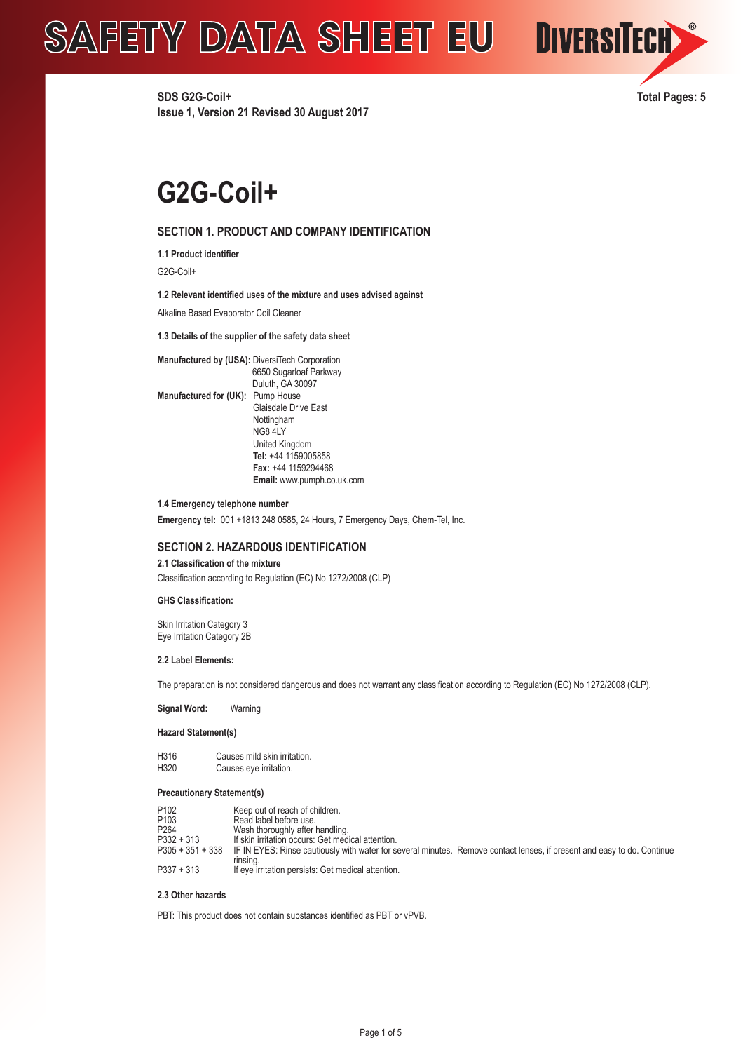

**DIVERSITECH** 

# **G2G-Coil+**

# **SECTION 1. PRODUCT AND COMPANY IDENTIFICATION**

**1.1 Product identifier**

G2G-Coil+

## **1.2 Relevant identified uses of the mixture and uses advised against**

Alkaline Based Evaporator Coil Cleaner

#### **1.3 Details of the supplier of the safety data sheet**

**Manufactured by (USA):** DiversiTech Corporation 6650 Sugarloaf Parkway Duluth, GA 30097 **Manufactured for (UK):** Pump House Glaisdale Drive East Nottingham NG8 4LY United Kingdom  **Tel:** +44 1159005858  **Fax:** +44 1159294468  **Email:** www.pumph.co.uk.com

#### **1.4 Emergency telephone number**

**Emergency tel:** 001 +1813 248 0585, 24 Hours, 7 Emergency Days, Chem-Tel, Inc.

# **SECTION 2. HAZARDOUS IDENTIFICATION**

#### **2.1 Classification of the mixture**

Classification according to Regulation (EC) No 1272/2008 (CLP)

### **GHS Classification:**

Skin Irritation Category 3 Eye Irritation Category 2B

#### **2.2 Label Elements:**

The preparation is not considered dangerous and does not warrant any classification according to Regulation (EC) No 1272/2008 (CLP).

**Signal Word:** Warning

## **Hazard Statement(s)**

| H316 | Causes mild skin irritation. |
|------|------------------------------|
| H320 | Causes eye irritation.       |

#### **Precautionary Statement(s)**

| P <sub>102</sub>   | Keep out of reach of children.                                                                                          |
|--------------------|-------------------------------------------------------------------------------------------------------------------------|
| P <sub>103</sub>   | Read label before use.                                                                                                  |
| P <sub>264</sub>   | Wash thoroughly after handling.                                                                                         |
| $P332 + 313$       | If skin irritation occurs: Get medical attention.                                                                       |
| $P305 + 351 + 338$ | IF IN EYES: Rinse cautiously with water for several minutes. Remove contact lenses, if present and easy to do. Continue |
|                    | rinsina.                                                                                                                |
| $P337 + 313$       | If eye irritation persists: Get medical attention.                                                                      |

### **2.3 Other hazards**

PBT: This product does not contain substances identified as PBT or vPVB.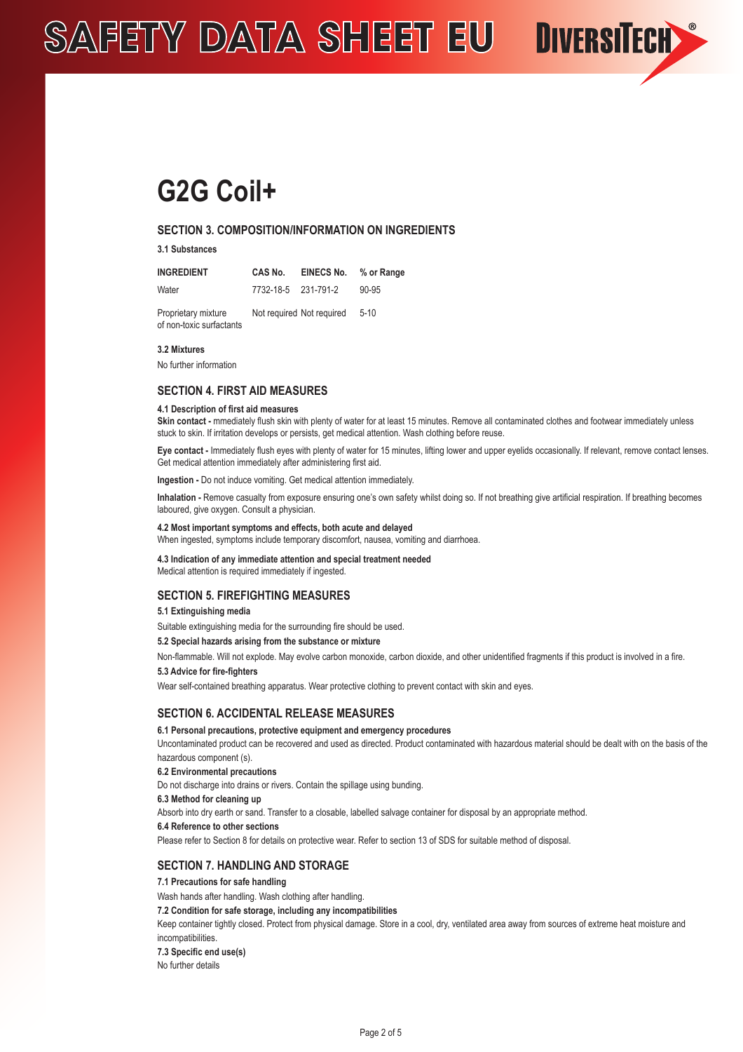# **G2G Coil+**

# **SECTION 3. COMPOSITION/INFORMATION ON INGREDIENTS**

**3.1 Substances**

| INGREDIENT | CAS No.             | EINECS No. | % or Range |
|------------|---------------------|------------|------------|
| Water      | 7732-18-5 231-791-2 |            | $90 - 95$  |

Proprietary mixture Not required Not required 5-10 of non-toxic surfactants

#### **3.2 Mixtures**

No further information

# **SECTION 4. FIRST AID MEASURES**

#### **4.1 Description of first aid measures**

Skin contact - mmediately flush skin with plenty of water for at least 15 minutes. Remove all contaminated clothes and footwear immediately unless stuck to skin. If irritation develops or persists, get medical attention. Wash clothing before reuse.

**DIVERSITECH** 

**Eye contact -** Immediately flush eyes with plenty of water for 15 minutes, lifting lower and upper eyelids occasionally. If relevant, remove contact lenses. Get medical attention immediately after administering first aid.

**Ingestion -** Do not induce vomiting. Get medical attention immediately.

**Inhalation -** Remove casualty from exposure ensuring one's own safety whilst doing so. If not breathing give artificial respiration. If breathing becomes laboured, give oxygen. Consult a physician.

# **4.2 Most important symptoms and effects, both acute and delayed**

When ingested, symptoms include temporary discomfort, nausea, vomiting and diarrhoea.

#### **4.3 Indication of any immediate attention and special treatment needed**

Medical attention is required immediately if ingested.

## **SECTION 5. FIREFIGHTING MEASURES**

# **5.1 Extinguishing media**

Suitable extinguishing media for the surrounding fire should be used.

## **5.2 Special hazards arising from the substance or mixture**

Non-flammable. Will not explode. May evolve carbon monoxide, carbon dioxide, and other unidentified fragments if this product is involved in a fire.

### **5.3 Advice for fire-fighters**

Wear self-contained breathing apparatus. Wear protective clothing to prevent contact with skin and eyes.

# **SECTION 6. ACCIDENTAL RELEASE MEASURES**

**6.1 Personal precautions, protective equipment and emergency procedures** 

Uncontaminated product can be recovered and used as directed. Product contaminated with hazardous material should be dealt with on the basis of the hazardous component (s).

### **6.2 Environmental precautions**

Do not discharge into drains or rivers. Contain the spillage using bunding.

#### **6.3 Method for cleaning up**

Absorb into dry earth or sand. Transfer to a closable, labelled salvage container for disposal by an appropriate method.

**6.4 Reference to other sections**

Please refer to Section 8 for details on protective wear. Refer to section 13 of SDS for suitable method of disposal.

# **SECTION 7. HANDLING AND STORAGE**

**7.1 Precautions for safe handling** 

Wash hands after handling. Wash clothing after handling.

**7.2 Condition for safe storage, including any incompatibilities**

Keep container tightly closed. Protect from physical damage. Store in a cool, dry, ventilated area away from sources of extreme heat moisture and incompatibilities.

**7.3 Specific end use(s)**

No further details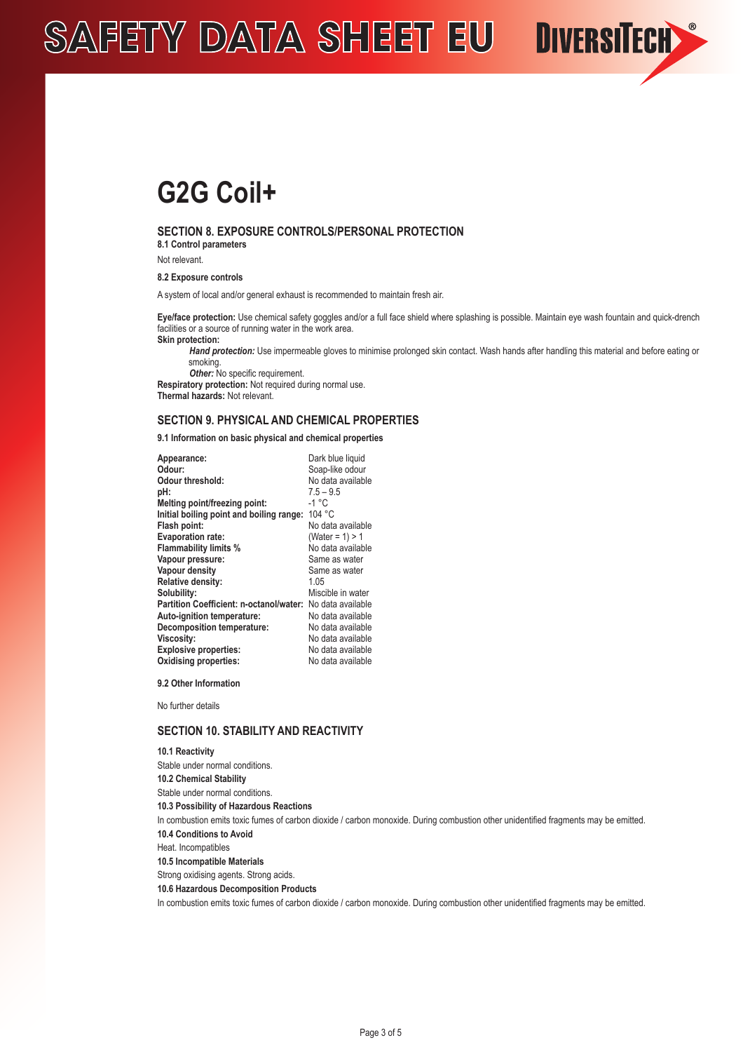# **G2G Coil+**

# **SECTION 8. EXPOSURE CONTROLS/PERSONAL PROTECTION**

**8.1 Control parameters** 

Not relevant.

**8.2 Exposure controls**

A system of local and/or general exhaust is recommended to maintain fresh air.

**Eye/face protection:** Use chemical safety goggles and/or a full face shield where splashing is possible. Maintain eye wash fountain and quick-drench facilities or a source of running water in the work area. **Skin protection:** 

*Hand protection:* Use impermeable gloves to minimise prolonged skin contact. Wash hands after handling this material and before eating or smoking.

**DIVERSITECH** 

**Other:** No specific requirement.

**Respiratory protection:** Not required during normal use. **Thermal hazards:** Not relevant.

# **SECTION 9. PHYSICAL AND CHEMICAL PROPERTIES**

**9.1 Information on basic physical and chemical properties**

| Dark blue liquid   |
|--------------------|
| Soap-like odour    |
| No data available  |
| $7.5 - 9.5$        |
| -1 °C              |
| 104 °C             |
| No data available  |
| (Water = $1$ ) > 1 |
| No data available  |
| Same as water      |
| Same as water      |
| 1.05               |
| Miscible in water  |
| No data available  |
| No data available  |
| No data available  |
| No data available  |
| No data available  |
| No data available  |
|                    |

**9.2 Other Information**

No further details

# **SECTION 10. STABILITY AND REACTIVITY**

**10.1 Reactivity** Stable under normal conditions. **10.2 Chemical Stability** Stable under normal conditions. **10.3 Possibility of Hazardous Reactions** In combustion emits toxic fumes of carbon dioxide / carbon monoxide. During combustion other unidentified fragments may be emitted. **10.4 Conditions to Avoid** Heat. Incompatibles **10.5 Incompatible Materials** Strong oxidising agents. Strong acids. **10.6 Hazardous Decomposition Products** In combustion emits toxic fumes of carbon dioxide / carbon monoxide. During combustion other unidentified fragments may be emitted.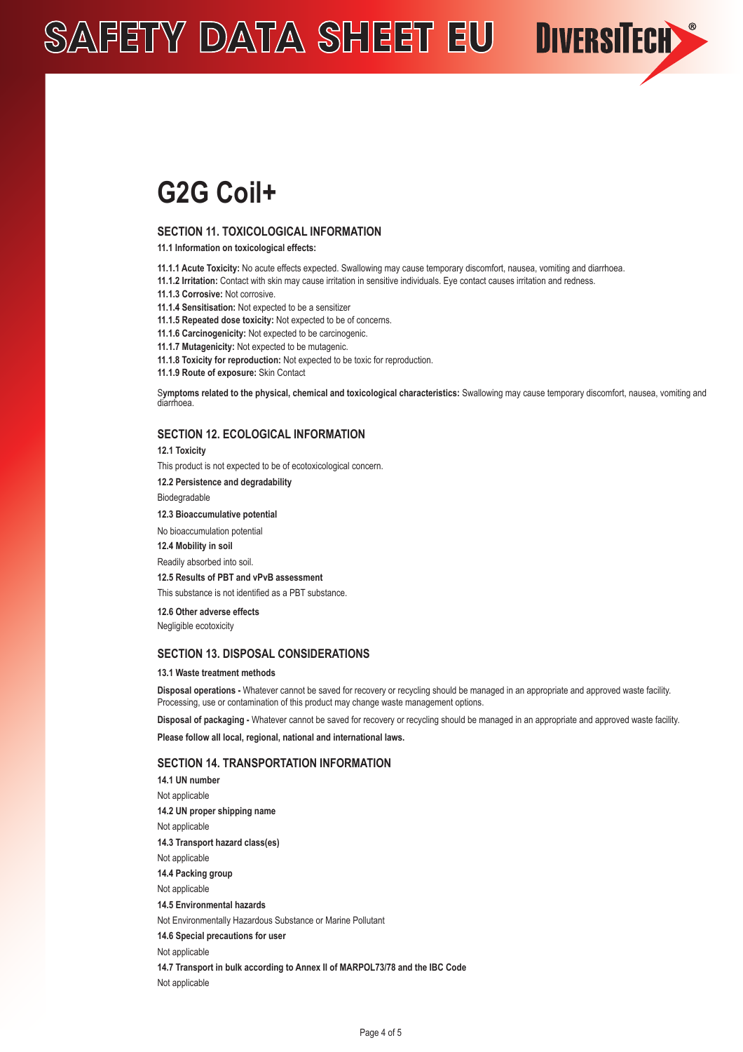# **G2G Coil+**

## **SECTION 11. TOXICOLOGICAL INFORMATION**

**11.1 Information on toxicological effects:**

- **11.1.1 Acute Toxicity:** No acute effects expected. Swallowing may cause temporary discomfort, nausea, vomiting and diarrhoea.
- **11.1.2 Irritation:** Contact with skin may cause irritation in sensitive individuals. Eye contact causes irritation and redness.
- **11.1.3 Corrosive:** Not corrosive.
- **11.1.4 Sensitisation:** Not expected to be a sensitizer
- **11.1.5 Repeated dose toxicity:** Not expected to be of concerns.
- **11.1.6 Carcinogenicity:** Not expected to be carcinogenic.
- **11.1.7 Mutagenicity:** Not expected to be mutagenic.

**11.1.8 Toxicity for reproduction:** Not expected to be toxic for reproduction.

**11.1.9 Route of exposure:** Skin Contact

S**ymptoms related to the physical, chemical and toxicological characteristics:** Swallowing may cause temporary discomfort, nausea, vomiting and diarrhoea.

**DIVERSITECH** 

# **SECTION 12. ECOLOGICAL INFORMATION**

**12.1 Toxicity**

This product is not expected to be of ecotoxicological concern.

**12.2 Persistence and degradability**

Biodegradable

**12.3 Bioaccumulative potential**

No bioaccumulation potential

**12.4 Mobility in soil**

Readily absorbed into soil.

#### **12.5 Results of PBT and vPvB assessment**

This substance is not identified as a PBT substance.

**12.6 Other adverse effects**

Negligible ecotoxicity

# **SECTION 13. DISPOSAL CONSIDERATIONS**

#### **13.1 Waste treatment methods**

**Disposal operations -** Whatever cannot be saved for recovery or recycling should be managed in an appropriate and approved waste facility. Processing, use or contamination of this product may change waste management options.

**Disposal of packaging -** Whatever cannot be saved for recovery or recycling should be managed in an appropriate and approved waste facility.

**Please follow all local, regional, national and international laws.**

## **SECTION 14. TRANSPORTATION INFORMATION**

**14.1 UN number** Not applicable **14.2 UN proper shipping name** Not applicable **14.3 Transport hazard class(es)** Not applicable **14.4 Packing group** Not applicable **14.5 Environmental hazards** Not Environmentally Hazardous Substance or Marine Pollutant **14.6 Special precautions for user** Not applicable **14.7 Transport in bulk according to Annex II of MARPOL73/78 and the IBC Code** Not applicable